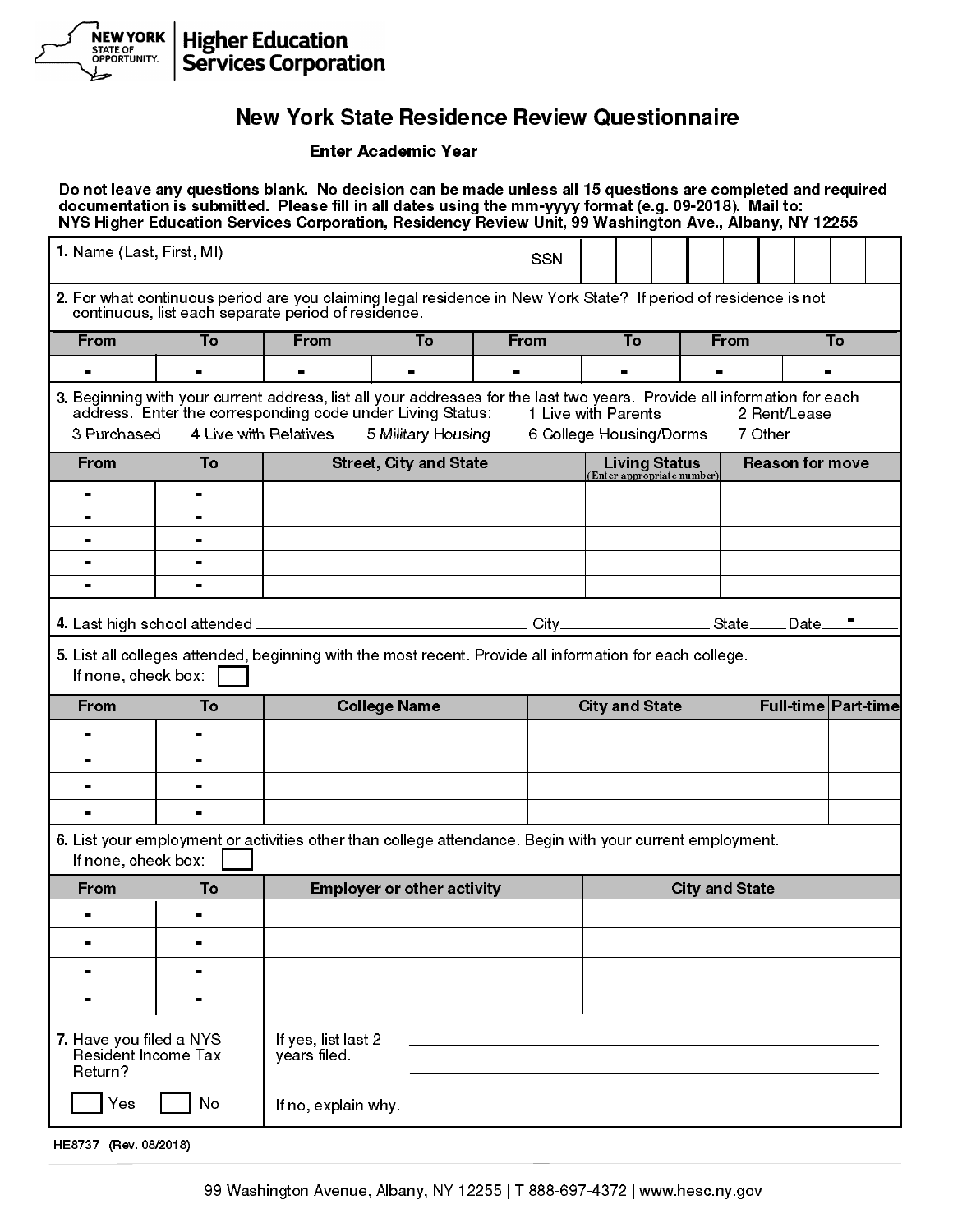

## New York State Residence Review Questionnaire

|                                                           |                                                     |                                     |                                                                                  | Enter Academic Year ________________                                                                                                                                                                                                                                                                                             |                                                    |  |                       |                         |                     |
|-----------------------------------------------------------|-----------------------------------------------------|-------------------------------------|----------------------------------------------------------------------------------|----------------------------------------------------------------------------------------------------------------------------------------------------------------------------------------------------------------------------------------------------------------------------------------------------------------------------------|----------------------------------------------------|--|-----------------------|-------------------------|---------------------|
|                                                           |                                                     |                                     |                                                                                  | Do not leave any questions blank. No decision can be made unless all 15 questions are completed and required<br>documentation is submitted. Please fill in all dates using the mm-yyyy format (e.g. 09-2018). Mail to:<br>NYS Higher Education Services Corporation, Residency Review Unit, 99 Washington Ave., Albany, NY 12255 |                                                    |  |                       |                         |                     |
| 1. Name (Last, First, MI)                                 |                                                     |                                     |                                                                                  | <b>SSN</b>                                                                                                                                                                                                                                                                                                                       |                                                    |  |                       |                         |                     |
|                                                           | continuous, list each separate period of residence. |                                     |                                                                                  | 2. For what continuous period are you claiming legal residence in New York State? If period of residence is not                                                                                                                                                                                                                  |                                                    |  |                       |                         |                     |
| <b>From</b>                                               | To                                                  | <b>From</b>                         | To                                                                               | From                                                                                                                                                                                                                                                                                                                             | To                                                 |  | <b>From</b>           |                         | To                  |
| $\blacksquare$                                            | н.                                                  | $\blacksquare$                      | $\blacksquare$                                                                   | $\blacksquare$                                                                                                                                                                                                                                                                                                                   | $\blacksquare$                                     |  | $\blacksquare$        |                         | $\blacksquare$      |
| 3 Purchased                                               |                                                     | 4 Live with Relatives               | address. Enter the corresponding code under Living Status:<br>5 Military Housing | 3. Beginning with your current address, list all your addresses for the last two years. Provide all information for each                                                                                                                                                                                                         | 1 Live with Parents<br>6 College Housing/Dorms     |  |                       | 2 Rent/Lease<br>7 Other |                     |
| <b>From</b>                                               | To                                                  |                                     | <b>Street, City and State</b>                                                    |                                                                                                                                                                                                                                                                                                                                  | <b>Living Status</b><br>(Enter appropriate number) |  |                       | <b>Reason for move</b>  |                     |
|                                                           | Ξ.                                                  |                                     |                                                                                  |                                                                                                                                                                                                                                                                                                                                  |                                                    |  |                       |                         |                     |
|                                                           |                                                     |                                     |                                                                                  |                                                                                                                                                                                                                                                                                                                                  |                                                    |  |                       |                         |                     |
|                                                           | н.                                                  |                                     |                                                                                  |                                                                                                                                                                                                                                                                                                                                  |                                                    |  |                       |                         |                     |
|                                                           |                                                     |                                     |                                                                                  |                                                                                                                                                                                                                                                                                                                                  |                                                    |  |                       |                         |                     |
|                                                           |                                                     |                                     |                                                                                  |                                                                                                                                                                                                                                                                                                                                  |                                                    |  |                       |                         |                     |
|                                                           |                                                     |                                     |                                                                                  |                                                                                                                                                                                                                                                                                                                                  |                                                    |  |                       |                         |                     |
| If none, check box:                                       |                                                     |                                     |                                                                                  | 5. List all colleges attended, beginning with the most recent. Provide all information for each college.                                                                                                                                                                                                                         |                                                    |  |                       |                         |                     |
| <b>From</b>                                               | To                                                  | <b>College Name</b>                 |                                                                                  |                                                                                                                                                                                                                                                                                                                                  | <b>City and State</b>                              |  |                       |                         | Full-time Part-time |
|                                                           |                                                     |                                     |                                                                                  |                                                                                                                                                                                                                                                                                                                                  |                                                    |  |                       |                         |                     |
|                                                           |                                                     |                                     |                                                                                  |                                                                                                                                                                                                                                                                                                                                  |                                                    |  |                       |                         |                     |
|                                                           |                                                     |                                     |                                                                                  |                                                                                                                                                                                                                                                                                                                                  |                                                    |  |                       |                         |                     |
|                                                           |                                                     |                                     |                                                                                  |                                                                                                                                                                                                                                                                                                                                  |                                                    |  |                       |                         |                     |
|                                                           |                                                     |                                     |                                                                                  |                                                                                                                                                                                                                                                                                                                                  |                                                    |  |                       |                         |                     |
| If none, check box:                                       |                                                     |                                     |                                                                                  | 6. List your employment or activities other than college attendance. Begin with your current employment.                                                                                                                                                                                                                         |                                                    |  |                       |                         |                     |
| <b>From</b>                                               | To                                                  |                                     | <b>Employer or other activity</b>                                                |                                                                                                                                                                                                                                                                                                                                  |                                                    |  | <b>City and State</b> |                         |                     |
|                                                           |                                                     |                                     |                                                                                  |                                                                                                                                                                                                                                                                                                                                  |                                                    |  |                       |                         |                     |
| $\blacksquare$                                            |                                                     |                                     |                                                                                  |                                                                                                                                                                                                                                                                                                                                  |                                                    |  |                       |                         |                     |
|                                                           |                                                     |                                     |                                                                                  |                                                                                                                                                                                                                                                                                                                                  |                                                    |  |                       |                         |                     |
|                                                           | $\blacksquare$                                      |                                     |                                                                                  |                                                                                                                                                                                                                                                                                                                                  |                                                    |  |                       |                         |                     |
| 7. Have you filed a NYS<br>Resident Income Tax<br>Return? |                                                     | If yes, list last 2<br>years filed. |                                                                                  |                                                                                                                                                                                                                                                                                                                                  |                                                    |  |                       |                         |                     |
| Yes                                                       | No                                                  |                                     |                                                                                  | If no, explain why. $\frac{1}{2}$ is a set of the set of the set of the set of the set of the set of the set of the set of the set of the set of the set of the set of the set of the set of the set of the set of the set of the                                                                                                |                                                    |  |                       |                         |                     |